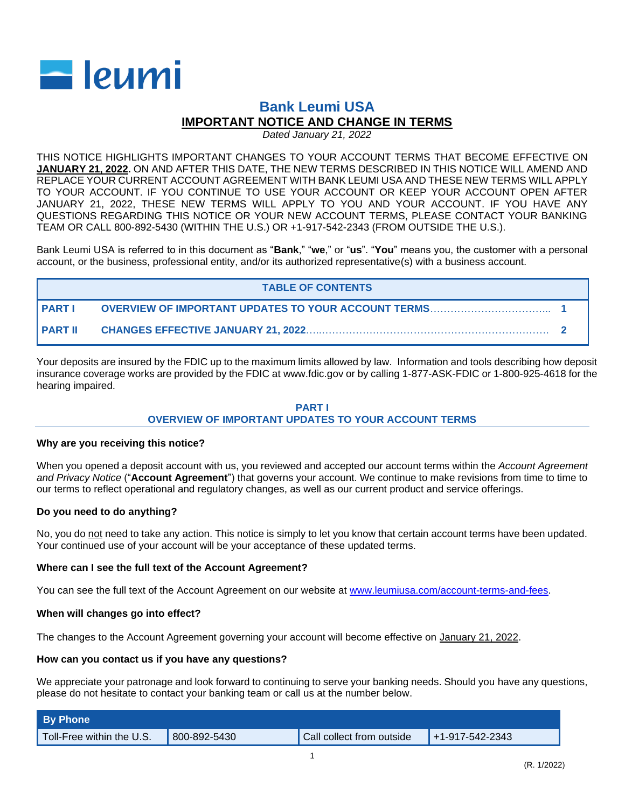

# **Bank Leumi USA IMPORTANT NOTICE AND CHANGE IN TERMS**

*Dated January 21, 2022*

THIS NOTICE HIGHLIGHTS IMPORTANT CHANGES TO YOUR ACCOUNT TERMS THAT BECOME EFFECTIVE ON **JANUARY 21, 2022.** ON AND AFTER THIS DATE, THE NEW TERMS DESCRIBED IN THIS NOTICE WILL AMEND AND REPLACE YOUR CURRENT ACCOUNT AGREEMENT WITH BANK LEUMI USA AND THESE NEW TERMS WILL APPLY TO YOUR ACCOUNT. IF YOU CONTINUE TO USE YOUR ACCOUNT OR KEEP YOUR ACCOUNT OPEN AFTER JANUARY 21, 2022, THESE NEW TERMS WILL APPLY TO YOU AND YOUR ACCOUNT. IF YOU HAVE ANY QUESTIONS REGARDING THIS NOTICE OR YOUR NEW ACCOUNT TERMS, PLEASE CONTACT YOUR BANKING TEAM OR CALL 800-892-5430 (WITHIN THE U.S.) OR +1-917-542-2343 (FROM OUTSIDE THE U.S.).

Bank Leumi USA is referred to in this document as "**Bank**," "**we**," or "**us**". "**You**" means you, the customer with a personal account, or the business, professional entity, and/or its authorized representative(s) with a business account.

| <b>TABLE OF CONTENTS</b> |  |  |  |  |  |
|--------------------------|--|--|--|--|--|
| I PART I                 |  |  |  |  |  |
| I PART II                |  |  |  |  |  |

Your deposits are insured by the FDIC up to the maximum limits allowed by law. Information and tools describing how deposit insurance coverage works are provided by the FDIC at www.fdic.gov or by calling 1-877-ASK-FDIC or 1-800-925-4618 for the hearing impaired.

# **PART I OVERVIEW OF IMPORTANT UPDATES TO YOUR ACCOUNT TERMS**

## **Why are you receiving this notice?**

When you opened a deposit account with us, you reviewed and accepted our account terms within the *Account Agreement and Privacy Notice* ("**Account Agreement**") that governs your account. We continue to make revisions from time to time to our terms to reflect operational and regulatory changes, as well as our current product and service offerings.

# **Do you need to do anything?**

No, you do not need to take any action. This notice is simply to let you know that certain account terms have been updated. Your continued use of your account will be your acceptance of these updated terms.

## **Where can I see the full text of the Account Agreement?**

You can see the full text of the Account Agreement on our website at [www.leumiusa.com/account-terms-and-fees.](http://www.leumiusa.com/account-terms-and-fees)

## **When will changes go into effect?**

The changes to the Account Agreement governing your account will become effective on January 21, 2022.

## **How can you contact us if you have any questions?**

We appreciate your patronage and look forward to continuing to serve your banking needs. Should you have any questions, please do not hesitate to contact your banking team or call us at the number below.

| <b>By Phone</b>           |              |                           |                   |  |  |  |
|---------------------------|--------------|---------------------------|-------------------|--|--|--|
| Toll-Free within the U.S. | 800-892-5430 | Call collect from outside | $+1-917-542-2343$ |  |  |  |
|                           |              |                           |                   |  |  |  |